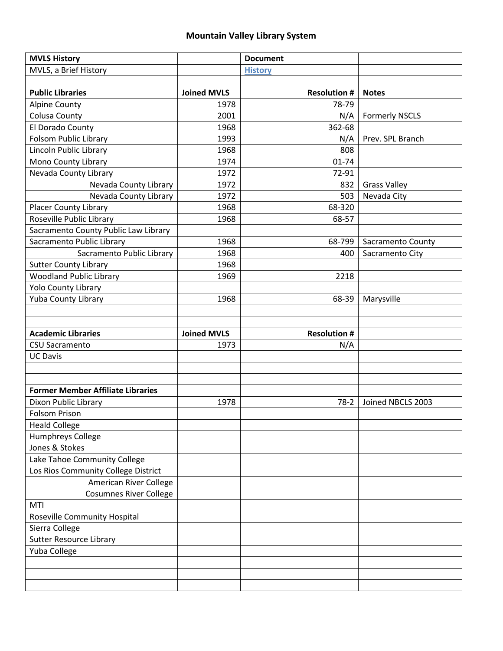## **Mountain Valley Library System**

| <b>MVLS History</b>                      |                    | <b>Document</b>     |                       |
|------------------------------------------|--------------------|---------------------|-----------------------|
| MVLS, a Brief History                    |                    | <b>History</b>      |                       |
|                                          |                    |                     |                       |
| <b>Public Libraries</b>                  | <b>Joined MVLS</b> | <b>Resolution#</b>  | <b>Notes</b>          |
| <b>Alpine County</b>                     | 1978               | 78-79               |                       |
| Colusa County                            | 2001               | N/A                 | <b>Formerly NSCLS</b> |
| El Dorado County                         | 1968               | 362-68              |                       |
| Folsom Public Library                    | 1993               | N/A                 | Prev. SPL Branch      |
| Lincoln Public Library                   | 1968               | 808                 |                       |
| Mono County Library                      | 1974               | $01 - 74$           |                       |
| Nevada County Library                    | 1972               | 72-91               |                       |
| Nevada County Library                    | 1972               | 832                 | <b>Grass Valley</b>   |
| Nevada County Library                    | 1972               | 503                 | Nevada City           |
| <b>Placer County Library</b>             | 1968               | 68-320              |                       |
| Roseville Public Library                 | 1968               | 68-57               |                       |
| Sacramento County Public Law Library     |                    |                     |                       |
| Sacramento Public Library                | 1968               | 68-799              | Sacramento County     |
| Sacramento Public Library                | 1968               | 400                 | Sacramento City       |
| <b>Sutter County Library</b>             | 1968               |                     |                       |
| <b>Woodland Public Library</b>           | 1969               | 2218                |                       |
| <b>Yolo County Library</b>               |                    |                     |                       |
| Yuba County Library                      | 1968               | 68-39               | Marysville            |
|                                          |                    |                     |                       |
|                                          |                    |                     |                       |
|                                          |                    |                     |                       |
| <b>Academic Libraries</b>                | <b>Joined MVLS</b> | <b>Resolution #</b> |                       |
| <b>CSU Sacramento</b>                    | 1973               |                     |                       |
|                                          |                    | N/A                 |                       |
| <b>UC Davis</b>                          |                    |                     |                       |
|                                          |                    |                     |                       |
|                                          |                    |                     |                       |
| <b>Former Member Affiliate Libraries</b> |                    |                     |                       |
| Dixon Public Library                     | 1978               | $78-2$              | Joined NBCLS 2003     |
| <b>Folsom Prison</b>                     |                    |                     |                       |
| <b>Heald College</b>                     |                    |                     |                       |
| Humphreys College                        |                    |                     |                       |
| Jones & Stokes                           |                    |                     |                       |
| Lake Tahoe Community College             |                    |                     |                       |
| Los Rios Community College District      |                    |                     |                       |
| American River College                   |                    |                     |                       |
| <b>Cosumnes River College</b>            |                    |                     |                       |
| MTI                                      |                    |                     |                       |
| Roseville Community Hospital             |                    |                     |                       |
| Sierra College                           |                    |                     |                       |
| <b>Sutter Resource Library</b>           |                    |                     |                       |
| Yuba College                             |                    |                     |                       |
|                                          |                    |                     |                       |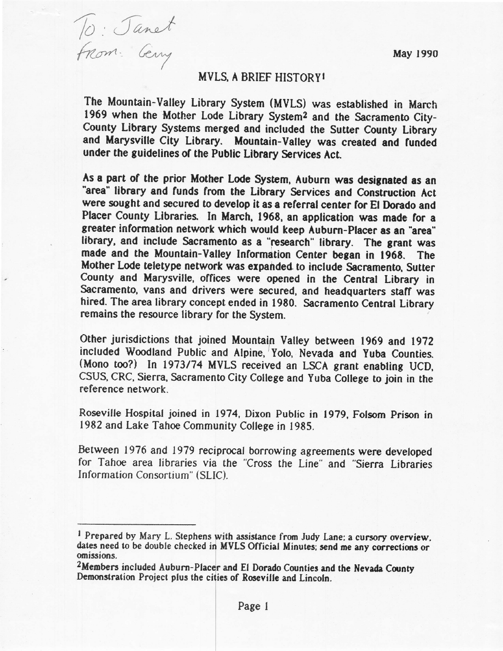May 1990

<span id="page-1-0"></span>To: Janet

## **MVLS. A BRIEF HISTORY!**

The Mountain-Valley Library System (MVLS) was established in March 1969 when the Mother Lode Library System<sup>2</sup> and the Sacramento City-County Library Systems merged and included the Sutter County Library and Marysville City Library. Mountain-Valley was created and funded under the guidelines of the Public Library Services Act.

As a part of the prior Mother Lode System, Auburn was designated as an "area" library and funds from the Library Services and Construction Act were sought and secured to develop it as a referral center for El Dorado and Placer County Libraries. In March, 1968, an application was made for a greater information network which would keep Auburn-Placer as an "area" library, and include Sacramento as a "research" library. The grant was made and the Mountain-Valley Information Center began in 1968. The Mother Lode teletype network was expanded to include Sacramento, Sutter County and Marysville, offices were opened in the Central Library in Sacramento, vans and drivers were secured, and headquarters staff was hired. The area library concept ended in 1980. Sacramento Central Library remains the resource library for the System.

Other jurisdictions that joined Mountain Valley between 1969 and 1972 included Woodland Public and Alpine, Yolo, Nevada and Yuba Counties. (Mono too?) In 1973/74 MVLS received an LSCA grant enabling UCD, CSUS, CRC, Sierra, Sacramento City College and Yuba College to join in the reference network

Roseville Hospital joined in 1974, Dixon Public in 1979, Folsom Prison in 1982 and Lake Tahoe Community College in 1985.

Between 1976 and 1979 reciprocal borrowing agreements were developed for Tahoe area libraries via the "Cross the Line" and "Sierra Libraries Information Consortium" (SLIC).

<sup>&</sup>lt;sup>1</sup> Prepared by Mary L. Stephens with assistance from Judy Lane; a cursory overview. dates need to be double checked in MVLS Official Minutes; send me any corrections or omissions.

<sup>&</sup>lt;sup>2</sup>Members included Auburn-Placer and El Dorado Counties and the Nevada County Demonstration Project plus the cities of Roseville and Lincoln.